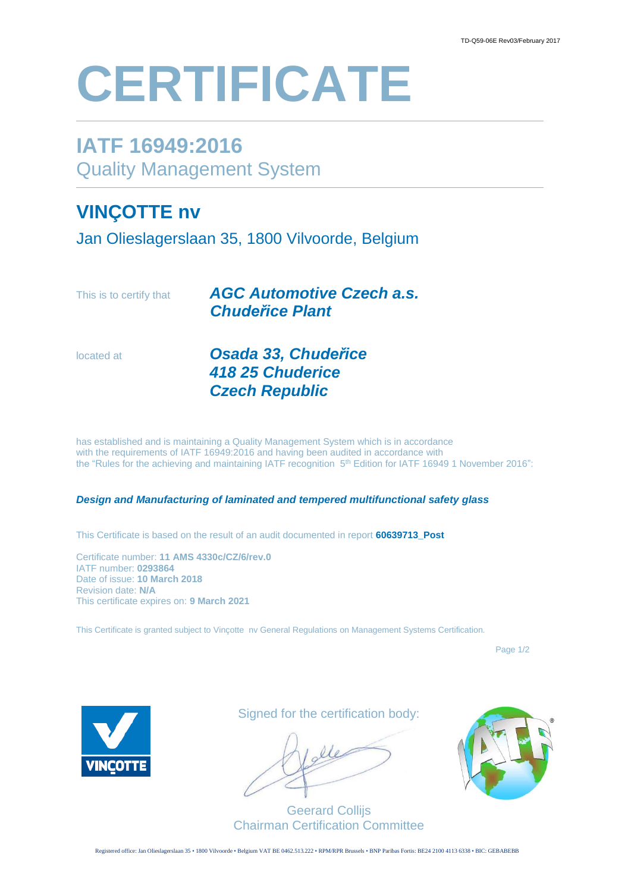# **CERTIFICATE**

# **IATF 16949:2016** Quality Management System

## **VINÇOTTE nv**

Jan Olieslagerslaan 35, 1800 Vilvoorde, Belgium

| This is to certify that | <b>AGC Automotive Czech a.s.</b><br><b>Chudeřice Plant</b>                                                                                                                                                                                                                                             |
|-------------------------|--------------------------------------------------------------------------------------------------------------------------------------------------------------------------------------------------------------------------------------------------------------------------------------------------------|
| located at              | Osada 33, Chudeřice<br><b>418 25 Chuderice</b>                                                                                                                                                                                                                                                         |
|                         | <b>Czech Republic</b>                                                                                                                                                                                                                                                                                  |
|                         | has established and is maintaining a Quality Management System which is in accordance<br>with the requirements of IATF 16949:2016 and having been audited in accordance with<br>the "Rules for the achieving and maintaining IATF recognition 5 <sup>th</sup> Edition for IATF 16949 1 November 2016": |

#### *Design and Manufacturing of laminated and tempered multifunctional safety glass*

This Certificate is based on the result of an audit documented in report **60639713\_Post**

Certificate number: **11 AMS 4330c/CZ/6/rev.0** IATF number: **0293864** Date of issue: **10 March 2018** Revision date: **N/A** This certificate expires on: **9 March 2021**

This Certificate is granted subject to Vinçotte nv General Regulations on Management Systems Certification.

Page 1/2



Signed for the certification body:

Geerard Collijs Chairman Certification Committee